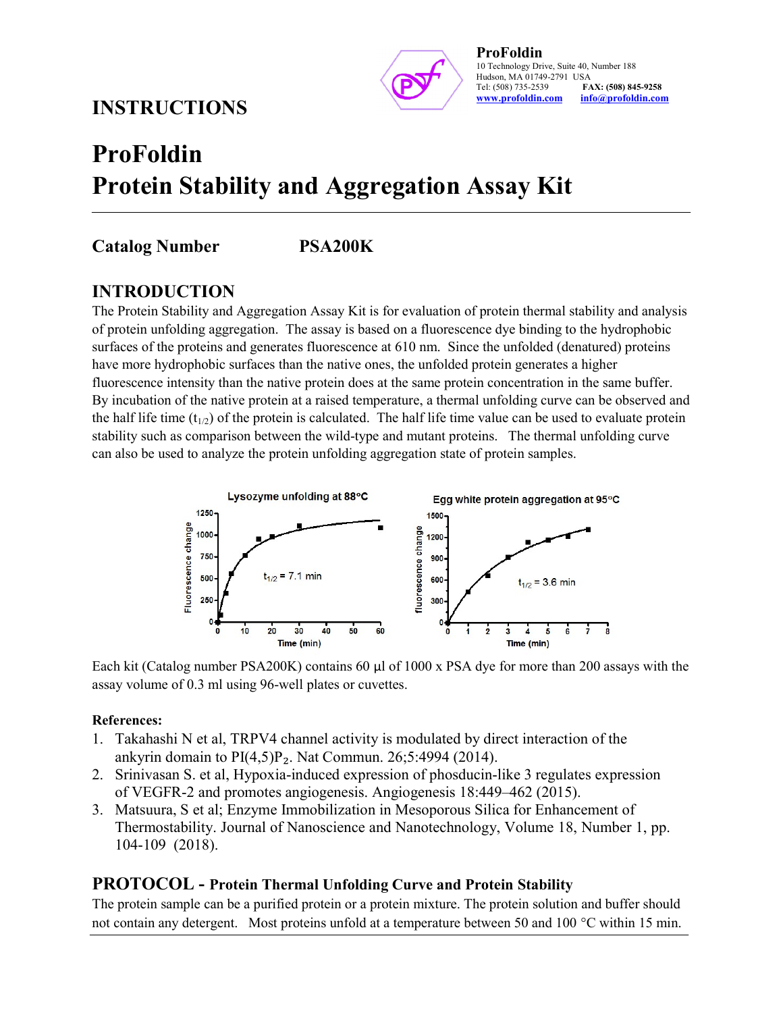## INSTRUCTIONS



# ProFoldin Protein Stability and Aggregation Assay Kit

## Catalog Number PSA200K

### INTRODUCTION

The Protein Stability and Aggregation Assay Kit is for evaluation of protein thermal stability and analysis of protein unfolding aggregation. The assay is based on a fluorescence dye binding to the hydrophobic surfaces of the proteins and generates fluorescence at 610 nm. Since the unfolded (denatured) proteins have more hydrophobic surfaces than the native ones, the unfolded protein generates a higher fluorescence intensity than the native protein does at the same protein concentration in the same buffer. By incubation of the native protein at a raised temperature, a thermal unfolding curve can be observed and the half life time ( $t_{1/2}$ ) of the protein is calculated. The half life time value can be used to evaluate protein stability such as comparison between the wild-type and mutant proteins. The thermal unfolding curve can also be used to analyze the protein unfolding aggregation state of protein samples.



Each kit (Catalog number PSA200K) contains 60 µl of 1000 x PSA dye for more than 200 assays with the assay volume of 0.3 ml using 96-well plates or cuvettes.

#### References:

- 1. Takahashi N et al, TRPV4 channel activity is modulated by direct interaction of the ankyrin domain to  $PI(4,5)P_2$ . Nat Commun. 26;5:4994 (2014).
- 2. Srinivasan S. et al, Hypoxia-induced expression of phosducin-like 3 regulates expression of VEGFR-2 and promotes angiogenesis. Angiogenesis 18:449–462 (2015).
- 3. Matsuura, S et al; Enzyme Immobilization in Mesoporous Silica for Enhancement of Thermostability. Journal of Nanoscience and Nanotechnology, Volume 18, Number 1, pp. 104-109 (2018).

#### PROTOCOL - Protein Thermal Unfolding Curve and Protein Stability

The protein sample can be a purified protein or a protein mixture. The protein solution and buffer should not contain any detergent. Most proteins unfold at a temperature between 50 and 100 °C within 15 min.